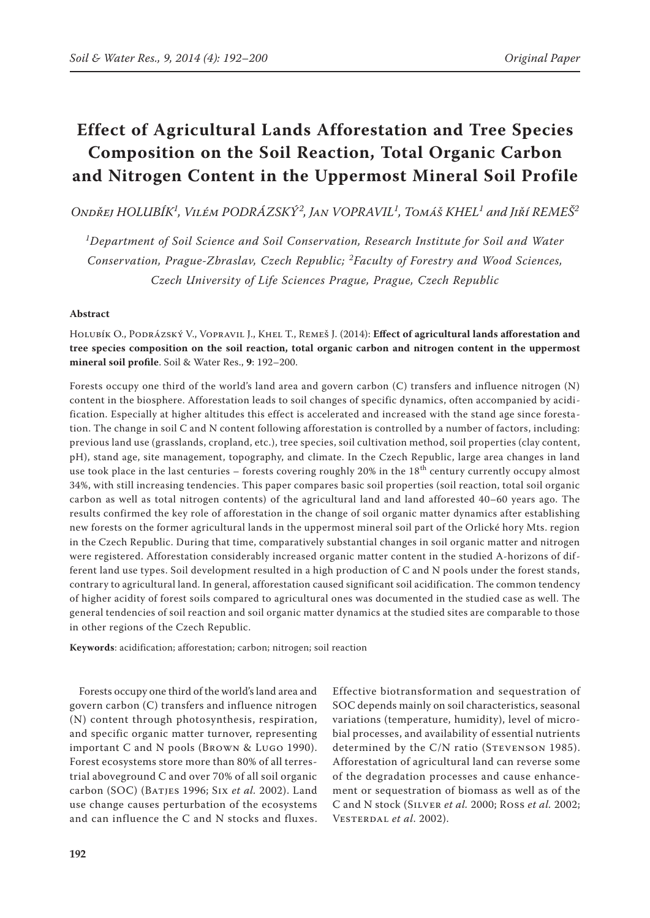# **Effect of Agricultural Lands Afforestation and Tree Species Composition on the Soil Reaction, Total Organic Carbon and Nitrogen Content in the Uppermost Mineral Soil Profile**

*Ondřej HOLUBÍK1 , Vilém PODRÁZSKÝ<sup>2</sup> , Jan VOPRAVIL1 , Tomáš KHEL1 and Jiří REMEŠ2*

*1 Department of Soil Science and Soil Conservation, Research Institute for Soil and Water Conservation, Prague-Zbraslav, Czech Republic; <sup>2</sup> Faculty of Forestry and Wood Sciences, Czech University of Life Sciences Prague, Prague, Czech Republic*

### **Abstract**

Holubík O., Podrázský V., Vopravil J., Khel T., Remeš J. (2014): **Effect of agricultural lands afforestation and tree species composition on the soil reaction, total organic carbon and nitrogen content in the uppermost mineral soil profile**. Soil & Water Res., **9**: 192–200.

Forests occupy one third of the world's land area and govern carbon (C) transfers and influence nitrogen (N) content in the biosphere. Afforestation leads to soil changes of specific dynamics, often accompanied by acidification. Especially at higher altitudes this effect is accelerated and increased with the stand age since forestation. The change in soil C and N content following afforestation is controlled by a number of factors, including: previous land use (grasslands, cropland, etc.), tree species, soil cultivation method, soil properties (clay content, pH), stand age, site management, topography, and climate. In the Czech Republic, large area changes in land use took place in the last centuries – forests covering roughly  $20\%$  in the  $18<sup>th</sup>$  century currently occupy almost 34%, with still increasing tendencies. This paper compares basic soil properties (soil reaction, total soil organic carbon as well as total nitrogen contents) of the agricultural land and land afforested 40–60 years ago. The results confirmed the key role of afforestation in the change of soil organic matter dynamics after establishing new forests on the former agricultural lands in the uppermost mineral soil part of the Orlické hory Mts. region in the Czech Republic. During that time, comparatively substantial changes in soil organic matter and nitrogen were registered. Afforestation considerably increased organic matter content in the studied A-horizons of different land use types. Soil development resulted in a high production of C and N pools under the forest stands, contrary to agricultural land. In general, afforestation caused significant soil acidification. The common tendency of higher acidity of forest soils compared to agricultural ones was documented in the studied case as well. The general tendencies of soil reaction and soil organic matter dynamics at the studied sites are comparable to those in other regions of the Czech Republic.

**Keywords**: acidification; afforestation; carbon; nitrogen; soil reaction

Forests occupy one third of the world's land area and govern carbon (C) transfers and influence nitrogen (N) content through photosynthesis, respiration, and specific organic matter turnover, representing important C and N pools (Brown & Lugo 1990). Forest ecosystems store more than 80% of all terrestrial aboveground C and over 70% of all soil organic carbon (SOC) (Batjes 1996; Six *et al.* 2002). Land use change causes perturbation of the ecosystems and can influence the C and N stocks and fluxes. Effective biotransformation and sequestration of SOC depends mainly on soil characteristics, seasonal variations (temperature, humidity), level of microbial processes, and availability of essential nutrients determined by the C/N ratio (STEVENSON 1985). Afforestation of agricultural land can reverse some of the degradation processes and cause enhancement or sequestration of biomass as well as of the C and N stock (Silver *et al.* 2000; Ross *et al.* 2002; Vesterdal *et al*. 2002).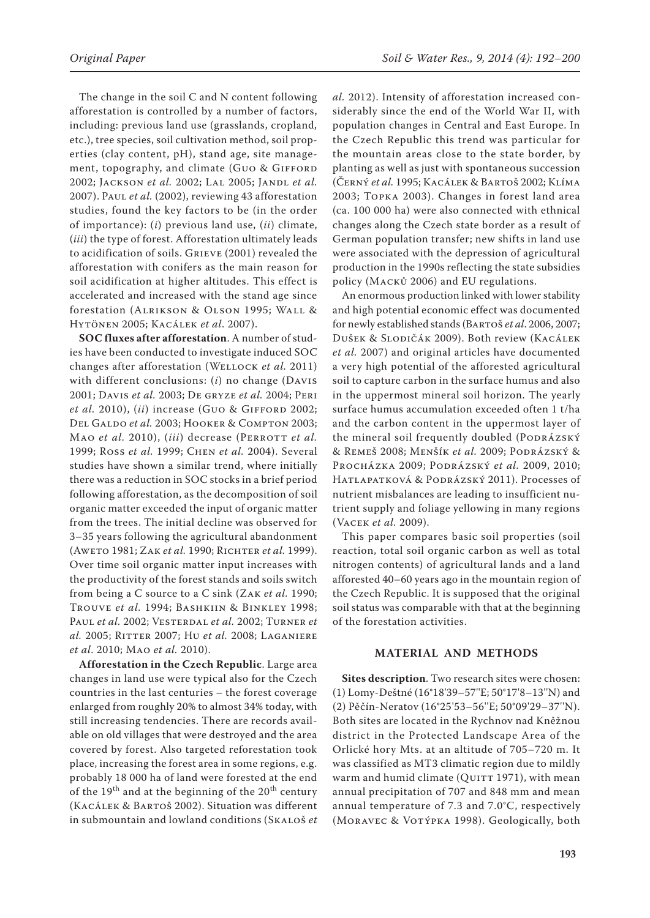The change in the soil C and N content following afforestation is controlled by a number of factors, including: previous land use (grasslands, cropland, etc.), tree species, soil cultivation method, soil properties (clay content, pH), stand age, site management, topography, and climate (Guo & GIFFORD 2002; Jackson *et al.* 2002; Lal 2005; Jandl *et al.* 2007). Paul *et al.* (2002), reviewing 43 afforestation studies, found the key factors to be (in the order of importance): (*i*) previous land use, (*ii*) climate, (*iii*) the type of forest. Afforestation ultimately leads to acidification of soils. Grieve (2001) revealed the afforestation with conifers as the main reason for soil acidification at higher altitudes. This effect is accelerated and increased with the stand age since forestation (Alrikson & Olson 1995; Wall & HytÖnen 2005; Kacálek *et al*. 2007).

**SOC fluxes after afforestation**. A number of studies have been conducted to investigate induced SOC changes after afforestation (Wellock *et al.* 2011) with different conclusions: (*i*) no change (Davis 2001; Davis *et al.* 2003; De gryze *et al.* 2004; Peri *et al.* 2010), (*ii*) increase (Guo & Gifford 2002; Del Galdo *et al.* 2003; Hooker & Compton 2003; Mao *et al.* 2010), *(iii)* decrease (PERROTT *et al.* 1999; Ross *et al.* 1999; Chen *et al.* 2004). Several studies have shown a similar trend, where initially there was a reduction in SOC stocks in a brief period following afforestation, as the decomposition of soil organic matter exceeded the input of organic matter from the trees. The initial decline was observed for 3–35 years following the agricultural abandonment (Aweto 1981; Zak *et al.* 1990; Richter *et al.* 1999). Over time soil organic matter input increases with the productivity of the forest stands and soils switch from being a C source to a C sink (Zak *et al.* 1990; Trouve *et al.* 1994; Bashkiin & Binkley 1998; Paul *et al.* 2002; Vesterdal *et al.* 2002; Turner *et al.* 2005; Ritter 2007; Hu *et al.* 2008; Laganiere *et al*. 2010; Mao *et al.* 2010).

**Afforestation in the Czech Republic**. Large area changes in land use were typical also for the Czech countries in the last centuries – the forest coverage enlarged from roughly 20% to almost 34% today, with still increasing tendencies. There are records available on old villages that were destroyed and the area covered by forest. Also targeted reforestation took place, increasing the forest area in some regions, e.g. probably 18 000 ha of land were forested at the end of the 19<sup>th</sup> and at the beginning of the  $20<sup>th</sup>$  century (Kacálek & Bartoš 2002). Situation was different in submountain and lowland conditions (Skaloš *et*  *al.* 2012). Intensity of afforestation increased considerably since the end of the World War II, with population changes in Central and East Europe. In the Czech Republic this trend was particular for the mountain areas close to the state border, by planting as well as just with spontaneous succession (Černý *et al.* 1995; Kacálek & Bartoš 2002; Klíma 2003; Topka 2003). Changes in forest land area (ca. 100 000 ha) were also connected with ethnical changes along the Czech state border as a result of German population transfer; new shifts in land use were associated with the depression of agricultural production in the 1990s reflecting the state subsidies policy (Macků 2006) and EU regulations.

An enormous production linked with lower stability and high potential economic effect was documented for newly established stands (Bartoš *et al*. 2006, 2007; Dušek & Slodičák 2009). Both review (Kacálek *et al.* 2007) and original articles have documented a very high potential of the afforested agricultural soil to capture carbon in the surface humus and also in the uppermost mineral soil horizon. The yearly surface humus accumulation exceeded often 1 t/ha and the carbon content in the uppermost layer of the mineral soil frequently doubled (PODRÁZSKÝ & Remeš 2008; Menšík *et al.* 2009; Podrázský & Procházka 2009; Podrázský *et al.* 2009, 2010; Hatlapatková & Podrázský 2011). Processes of nutrient misbalances are leading to insufficient nutrient supply and foliage yellowing in many regions (Vacek *et al.* 2009).

This paper compares basic soil properties (soil reaction, total soil organic carbon as well as total nitrogen contents) of agricultural lands and a land afforested 40–60 years ago in the mountain region of the Czech Republic. It is supposed that the original soil status was comparable with that at the beginning of the forestation activities.

## **MATERIAL AND METHODS**

**Sites description**. Two research sites were chosen: (1) Lomy-Deštné (16°18'39–57''E; 50°17'8–13''N) and (2) Pěčín-Neratov (16°25'53–56''E; 50°09'29–37''N). Both sites are located in the Rychnov nad Kněžnou district in the Protected Landscape Area of the Orlické hory Mts. at an altitude of 705–720 m. It was classified as MT3 climatic region due to mildly warm and humid climate (QUITT 1971), with mean annual precipitation of 707 and 848 mm and mean annual temperature of 7.3 and 7.0°C, respectively (MORAVEC & VOTÝPKA 1998). Geologically, both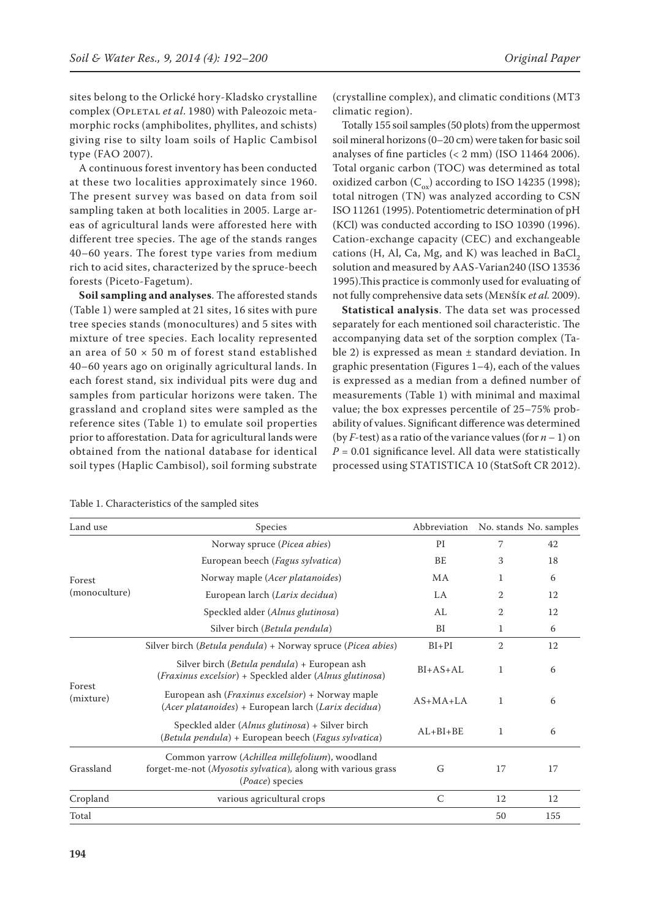sites belong to the Orlické hory-Kladsko crystalline complex (Opletal *et al*. 1980) with Paleozoic metamorphic rocks (amphibolites, phyllites, and schists) giving rise to silty loam soils of Haplic Cambisol type (FAO 2007).

A continuous forest inventory has been conducted at these two localities approximately since 1960. The present survey was based on data from soil sampling taken at both localities in 2005. Large areas of agricultural lands were afforested here with different tree species. The age of the stands ranges 40–60 years. The forest type varies from medium rich to acid sites, characterized by the spruce-beech forests (Piceto-Fagetum).

**Soil sampling and analyses**. The afforested stands (Table 1) were sampled at 21 sites, 16 sites with pure tree species stands (monocultures) and 5 sites with mixture of tree species. Each locality represented an area of  $50 \times 50$  m of forest stand established 40–60 years ago on originally agricultural lands. In each forest stand, six individual pits were dug and samples from particular horizons were taken. The grassland and cropland sites were sampled as the reference sites (Table 1) to emulate soil properties prior to afforestation. Data for agricultural lands were obtained from the national database for identical soil types (Haplic Cambisol), soil forming substrate (crystalline complex), and climatic conditions (MT3 climatic region).

Totally 155 soil samples (50 plots) from the uppermost soil mineral horizons (0–20 cm) were taken for basic soil analyses of fine particles (< 2 mm) (ISO 11464 2006). Total organic carbon (TOC) was determined as total oxidized carbon ( $C_{ox}$ ) according to ISO 14235 (1998); total nitrogen (TN) was analyzed according to CSN ISO 11261 (1995). Potentiometric determination of pH (KCl) was conducted according to ISO 10390 (1996). Cation-exchange capacity (CEC) and exchangeable cations (H, Al, Ca, Mg, and K) was leached in BaCl<sub>2</sub> solution and measured by AAS-Varian240 (ISO 13536 1995).This practice is commonly used for evaluating of not fully comprehensive data sets (Menšík *et al.* 2009).

**Statistical analysis**. The data set was processed separately for each mentioned soil characteristic. The accompanying data set of the sorption complex (Table 2) is expressed as mean ± standard deviation. In graphic presentation (Figures 1–4), each of the values is expressed as a median from a defined number of measurements (Table 1) with minimal and maximal value; the box expresses percentile of 25–75% probability of values. Significant difference was determined (by *F*-test) as a ratio of the variance values (for  $n - 1$ ) on *P* = 0.01 significance level. All data were statistically processed using STATISTICA 10 (StatSoft CR 2012).

| Land use                | Species                                                                                                                                    | Abbreviation   |                | No. stands No. samples |
|-------------------------|--------------------------------------------------------------------------------------------------------------------------------------------|----------------|----------------|------------------------|
| Forest<br>(monoculture) | Norway spruce (Picea abies)                                                                                                                | PI             | 7              | 42                     |
|                         | European beech (Fagus sylvatica)                                                                                                           | BE             | 3              | 18                     |
|                         | Norway maple (Acer platanoides)                                                                                                            | MA             | 1              | 6                      |
|                         | European larch (Larix decidua)                                                                                                             | LA             | $\overline{2}$ | 12                     |
|                         | Speckled alder (Alnus glutinosa)                                                                                                           | AL             | $\overline{2}$ | 12                     |
|                         | Silver birch (Betula pendula)                                                                                                              | <sub>BI</sub>  | 1              | 6                      |
| Forest<br>(mixture)     | Silver birch (Betula pendula) + Norway spruce (Picea abies)                                                                                | $BI+PI$        | $\overline{2}$ | 12                     |
|                         | Silver birch (Betula pendula) + European ash<br>(Fraxinus excelsior) + Speckled alder (Alnus glutinosa)                                    | $BI + AS + AI$ |                | 6                      |
|                         | European ash ( <i>Fraxinus excelsior</i> ) + Norway maple<br>(Acer platanoides) + European larch (Larix decidua)                           | $A S+MA+I.A$   | 1              | 6                      |
|                         | Speckled alder (Alnus glutinosa) + Silver birch<br>(Betula pendula) + European beech (Fagus sylvatica)                                     | $AI + BI + BE$ | 1              | 6                      |
| Grassland               | Common yarrow (Achillea millefolium), woodland<br>forget-me-not ( <i>Myosotis sylvatica</i> ), along with various grass<br>(Poace) species | G              | 17             |                        |
| Cropland                | various agricultural crops                                                                                                                 | $\mathcal{C}$  | 12             | 12                     |
| Total                   |                                                                                                                                            |                | 50             | 155                    |

Table 1. Characteristics of the sampled sites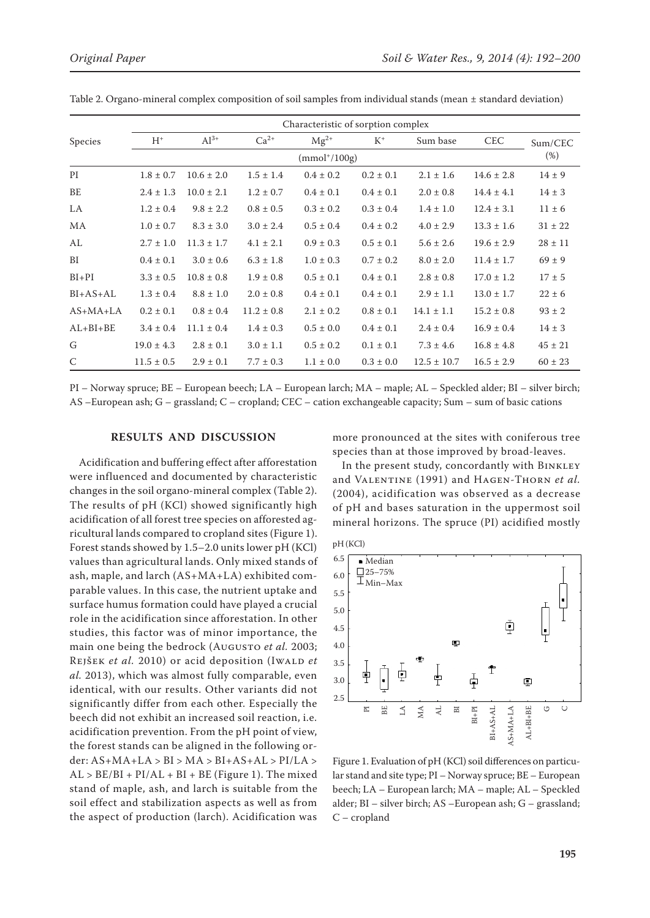|                | Characteristic of sorption complex |                |                |               |               |                 |                |             |
|----------------|------------------------------------|----------------|----------------|---------------|---------------|-----------------|----------------|-------------|
| Species        | $H^+$                              | $Al^{3+}$      | $Ca^{2+}$      | $Mg^{2+}$     | $K^+$         | Sum base        | <b>CEC</b>     | Sum/CEC     |
|                | $(mmol+/100g)$                     |                |                |               |               |                 |                |             |
| PI             | $1.8 \pm 0.7$                      | $10.6 \pm 2.0$ | $1.5 \pm 1.4$  | $0.4 \pm 0.2$ | $0.2 \pm 0.1$ | $2.1 \pm 1.6$   | $14.6 \pm 2.8$ | $14 \pm 9$  |
| BE             | $2.4 \pm 1.3$                      | $10.0 \pm 2.1$ | $1.2 \pm 0.7$  | $0.4 \pm 0.1$ | $0.4 \pm 0.1$ | $2.0 \pm 0.8$   | $14.4 \pm 4.1$ | $14 \pm 3$  |
| LA             | $1.2 \pm 0.4$                      | $9.8 \pm 2.2$  | $0.8 \pm 0.5$  | $0.3 \pm 0.2$ | $0.3 \pm 0.4$ | $1.4 \pm 1.0$   | $12.4 \pm 3.1$ | $11 \pm 6$  |
| MA             | $1.0 \pm 0.7$                      | $8.3 \pm 3.0$  | $3.0 \pm 2.4$  | $0.5 \pm 0.4$ | $0.4 \pm 0.2$ | $4.0 \pm 2.9$   | $13.3 \pm 1.6$ | $31 \pm 22$ |
| AL             | $2.7 \pm 1.0$                      | $11.3 \pm 1.7$ | $4.1 \pm 2.1$  | $0.9 \pm 0.3$ | $0.5 \pm 0.1$ | $5.6 \pm 2.6$   | $19.6 \pm 2.9$ | $28 \pm 11$ |
| BI             | $0.4 \pm 0.1$                      | $3.0 \pm 0.6$  | $6.3 \pm 1.8$  | $1.0 \pm 0.3$ | $0.7 \pm 0.2$ | $8.0 \pm 2.0$   | $11.4 \pm 1.7$ | $69 \pm 9$  |
| $BI + PI$      | $3.3 \pm 0.5$                      | $10.8 \pm 0.8$ | $1.9 \pm 0.8$  | $0.5 \pm 0.1$ | $0.4 \pm 0.1$ | $2.8 \pm 0.8$   | $17.0 \pm 1.2$ | $17 \pm 5$  |
| $BI+AS+AL$     | $1.3 \pm 0.4$                      | $8.8 \pm 1.0$  | $2.0 \pm 0.8$  | $0.4 \pm 0.1$ | $0.4 \pm 0.1$ | $2.9 \pm 1.1$   | $13.0 \pm 1.7$ | $22 \pm 6$  |
| $AS+MA+LA$     | $0.2 \pm 0.1$                      | $0.8 \pm 0.4$  | $11.2 \pm 0.8$ | $2.1 \pm 0.2$ | $0.8 \pm 0.1$ | $14.1 \pm 1.1$  | $15.2 \pm 0.8$ | $93 \pm 2$  |
| $AL + BI + BE$ | $3.4 \pm 0.4$                      | $11.1 \pm 0.4$ | $1.4 \pm 0.3$  | $0.5 \pm 0.0$ | $0.4 \pm 0.1$ | $2.4 \pm 0.4$   | $16.9 \pm 0.4$ | $14 \pm 3$  |
| G              | $19.0 \pm 4.3$                     | $2.8 \pm 0.1$  | $3.0 \pm 1.1$  | $0.5 \pm 0.2$ | $0.1 \pm 0.1$ | $7.3 \pm 4.6$   | $16.8 \pm 4.8$ | $45 \pm 21$ |
| $\mathcal{C}$  | $11.5 \pm 0.5$                     | $2.9 \pm 0.1$  | $7.7 \pm 0.3$  | $1.1 \pm 0.0$ | $0.3 \pm 0.0$ | $12.5 \pm 10.7$ | $16.5 \pm 2.9$ | $60 \pm 23$ |

Table 2. Organo-mineral complex composition of soil samples from individual stands (mean ± standard deviation)

PI – Norway spruce; BE – European beech; LA – European larch; MA – maple; AL – Speckled alder; BI – silver birch; AS –European ash; G – grassland; C – cropland; CEC – cation exchangeable capacity; Sum – sum of basic cations

### **RESULTS AND DISCUSSION**

Acidification and buffering effect after afforestation were influenced and documented by characteristic changes in the soil organo-mineral complex (Table 2). The results of pH (KCl) showed significantly high acidification of all forest tree species on afforested agricultural lands compared to cropland sites (Figure 1). Forest stands showed by 1.5–2.0 units lower pH (KCl) values than agricultural lands. Only mixed stands of ash, maple, and larch (AS+MA+LA) exhibited comparable values. In this case, the nutrient uptake and surface humus formation could have played a crucial role in the acidification since afforestation. In other studies, this factor was of minor importance, the main one being the bedrock (Augusto et al. 2003; Rejšek *et al.* 2010) or acid deposition (IWALD *et al.* 2013), which was almost fully comparable, even identical, with our results. Other variants did not significantly differ from each other. Especially the beech did not exhibit an increased soil reaction, i.e. acidification prevention. From the pH point of view, the forest stands can be aligned in the following order:  $AS+MA+LA > BI > MA > BI+AS+AL > PI/LA >$  $AL > BE/BI + PI/AL + BI + BE$  (Figure 1). The mixed stand of maple, ash, and larch is suitable from the soil effect and stabilization aspects as well as from the aspect of production (larch). Acidification was more pronounced at the sites with coniferous tree species than at those improved by broad-leaves.

In the present study, concordantly with BINKLEY and Valentine (1991) and Hagen-Thorn *et al.* (2004), acidification was observed as a decrease of pH and bases saturation in the uppermost soil mineral horizons. The spruce (PI) acidified mostly



Figure 1. Evaluation of pH (KCl) soil differences on particular stand and site type; PI – Norway spruce; BE – European beech; LA – European larch; MA – maple; AL – Speckled alder; BI – silver birch; AS –European ash; G – grassland; C – cropland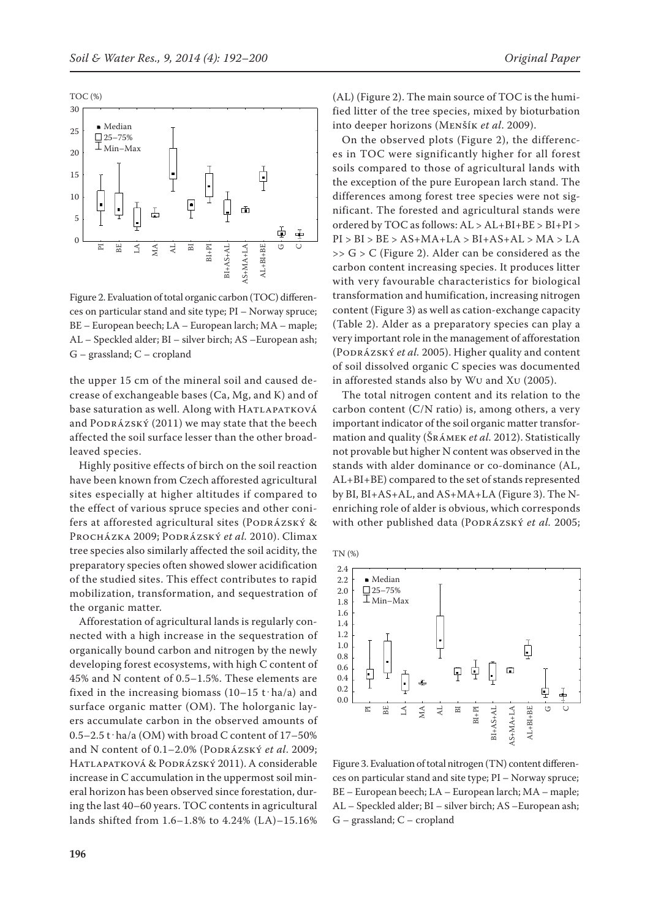

Figure 2. Evaluation of total organic carbon (TOC) differences on particular stand and site type; PI – Norway spruce; BE – European beech; LA – European larch; MA – maple; AL – Speckled alder; BI – silver birch; AS –European ash; G – grassland; C – cropland

the upper 15 cm of the mineral soil and caused decrease of exchangeable bases (Ca, Mg, and K) and of base saturation as well. Along with HATLAPATKOVÁ and PODRÁZSKÝ (2011) we may state that the beech affected the soil surface lesser than the other broadleaved species.

Highly positive effects of birch on the soil reaction have been known from Czech afforested agricultural sites especially at higher altitudes if compared to the effect of various spruce species and other conifers at afforested agricultural sites (PODRÁZSKÝ & Procházka 2009; Podrázský *et al.* 2010). Climax tree species also similarly affected the soil acidity, the preparatory species often showed slower acidification of the studied sites. This effect contributes to rapid mobilization, transformation, and sequestration of the organic matter.

Afforestation of agricultural lands is regularly connected with a high increase in the sequestration of organically bound carbon and nitrogen by the newly developing forest ecosystems, with high C content of 45% and N content of 0.5–1.5%. These elements are fixed in the increasing biomass  $(10-15 \text{ t} \cdot \text{ha/a})$  and surface organic matter (OM). The holorganic layers accumulate carbon in the observed amounts of  $0.5-2.5$  t $\cdot$  ha/a (OM) with broad C content of 17-50% and N content of 0.1-2.0% (PODRÁZSKÝ et al. 2009; Hatlapatková & Podrázský 2011). A considerable increase in C accumulation in the uppermost soil mineral horizon has been observed since forestation, during the last 40–60 years. TOC contents in agricultural lands shifted from 1.6–1.8% to 4.24% (LA)–15.16%

(AL) (Figure 2). The main source of TOC is the humified litter of the tree species, mixed by bioturbation into deeper horizons (Menšík *et al*. 2009).

On the observed plots (Figure 2), the differences in TOC were significantly higher for all forest soils compared to those of agricultural lands with the exception of the pure European larch stand. The differences among forest tree species were not significant. The forested and agricultural stands were ordered by TOC as follows: AL > AL+BI+BE > BI+PI >  $PI > BI > BE > AS+MA+LA > BI+AS+AL > MA > LA$  $>>$  G  $>$  C (Figure 2). Alder can be considered as the carbon content increasing species. It produces litter with very favourable characteristics for biological transformation and humification, increasing nitrogen content (Figure 3) as well as cation-exchange capacity (Table 2). Alder as a preparatory species can play a very important role in the management of afforestation (Podrázský *et al.* 2005). Higher quality and content of soil dissolved organic C species was documented in afforested stands also by Wu and Xu (2005).

The total nitrogen content and its relation to the carbon content (C/N ratio) is, among others, a very important indicator of the soil organic matter transformation and quality (Šrámek *et al.* 2012). Statistically not provable but higher N content was observed in the stands with alder dominance or co-dominance (AL, AL+BI+BE) compared to the set of stands represented by BI, BI+AS+AL, and AS+MA+LA (Figure 3). The Nenriching role of alder is obvious, which corresponds with other published data (PODRÁZSKÝ et al. 2005;





Figure 3. Evaluation of total nitrogen (TN) content differences on particular stand and site type; PI – Norway spruce; BE – European beech; LA – European larch; MA – maple; AL – Speckled alder; BI – silver birch; AS –European ash; G – grassland; C – cropland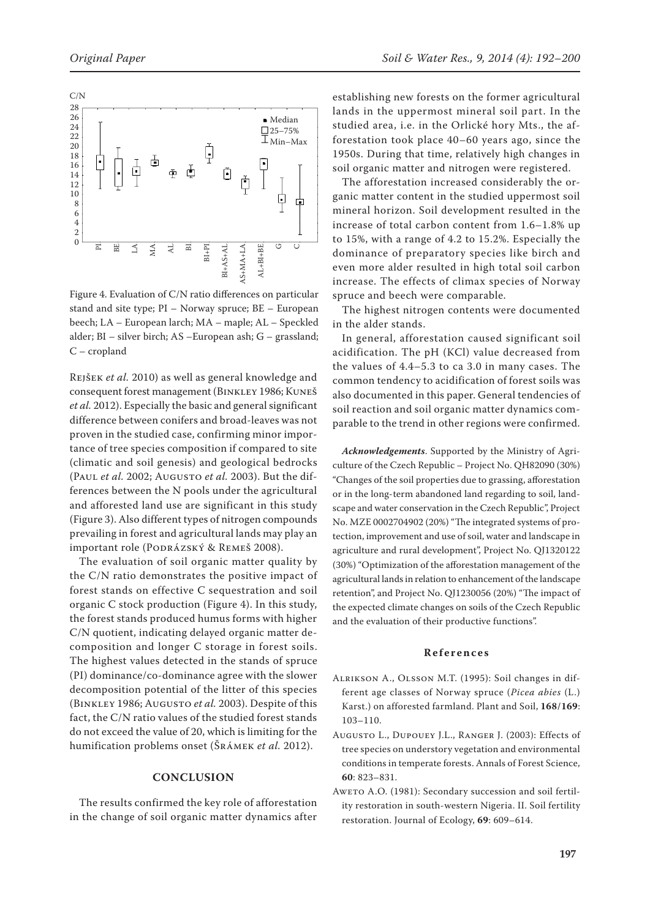

Figure 4. Evaluation of C/N ratio differences on particular stand and site type; PI – Norway spruce; BE – European beech; LA – European larch; MA – maple; AL – Speckled alder; BI – silver birch; AS –European ash; G – grassland; C – cropland

Rejšek *et al.* 2010) as well as general knowledge and consequent forest management (Binkley 1986; Kuneš *et al.* 2012). Especially the basic and general significant difference between conifers and broad-leaves was not proven in the studied case, confirming minor importance of tree species composition if compared to site (climatic and soil genesis) and geological bedrocks (Paul *et al.* 2002; Augusto *et al.* 2003). But the differences between the N pools under the agricultural and afforested land use are significant in this study (Figure 3). Also different types of nitrogen compounds prevailing in forest and agricultural lands may play an important role (PODRÁZSKÝ & REMEŠ 2008).

The evaluation of soil organic matter quality by the C/N ratio demonstrates the positive impact of forest stands on effective C sequestration and soil organic C stock production (Figure 4). In this study, the forest stands produced humus forms with higher C/N quotient, indicating delayed organic matter decomposition and longer C storage in forest soils. The highest values detected in the stands of spruce (PI) dominance/co-dominance agree with the slower decomposition potential of the litter of this species (Binkley 1986; Augusto *et al.* 2003). Despite of this fact, the C/N ratio values of the studied forest stands do not exceed the value of 20, which is limiting for the humification problems onset (Šrámek *et al.* 2012).

## **CONCLUSION**

The results confirmed the key role of afforestation in the change of soil organic matter dynamics after establishing new forests on the former agricultural lands in the uppermost mineral soil part. In the studied area, i.e. in the Orlické hory Mts., the afforestation took place 40–60 years ago, since the 1950s. During that time, relatively high changes in soil organic matter and nitrogen were registered.

The afforestation increased considerably the organic matter content in the studied uppermost soil mineral horizon. Soil development resulted in the increase of total carbon content from 1.6–1.8% up to 15%, with a range of 4.2 to 15.2%. Especially the dominance of preparatory species like birch and even more alder resulted in high total soil carbon increase. The effects of climax species of Norway spruce and beech were comparable.

The highest nitrogen contents were documented in the alder stands.

In general, afforestation caused significant soil acidification. The pH (KCl) value decreased from the values of 4.4–5.3 to ca 3.0 in many cases. The common tendency to acidification of forest soils was also documented in this paper. General tendencies of soil reaction and soil organic matter dynamics comparable to the trend in other regions were confirmed.

*Acknowledgements*. Supported by the Ministry of Agriculture of the Czech Republic – Project No. QH82090 (30%) "Changes of the soil properties due to grassing, afforestation or in the long-term abandoned land regarding to soil, landscape and water conservation in the Czech Republic", Project No. MZE 0002704902 (20%) "The integrated systems of protection, improvement and use of soil, water and landscape in agriculture and rural development", Project No. QJ1320122 (30%) "Optimization of the afforestation management of the agricultural lands in relation to enhancement of the landscape retention", and Project No. QJ1230056 (20%) "The impact of the expected climate changes on soils of the Czech Republic and the evaluation of their productive functions".

#### **References**

- Alrikson A., Olsson M.T. (1995): Soil changes in different age classes of Norway spruce (*Picea abies* (L.) Karst.) on afforested farmland. Plant and Soil, **168/169**: 103–110.
- Augusto L., Dupouey J.L., Ranger J. (2003): Effects of tree species on understory vegetation and environmental conditions in temperate forests. Annals of Forest Science, **60**: 823–831.
- AWETO A.O. (1981): Secondary succession and soil fertility restoration in south-western Nigeria. II. Soil fertility restoration. Journal of Ecology, **69**: 609–614.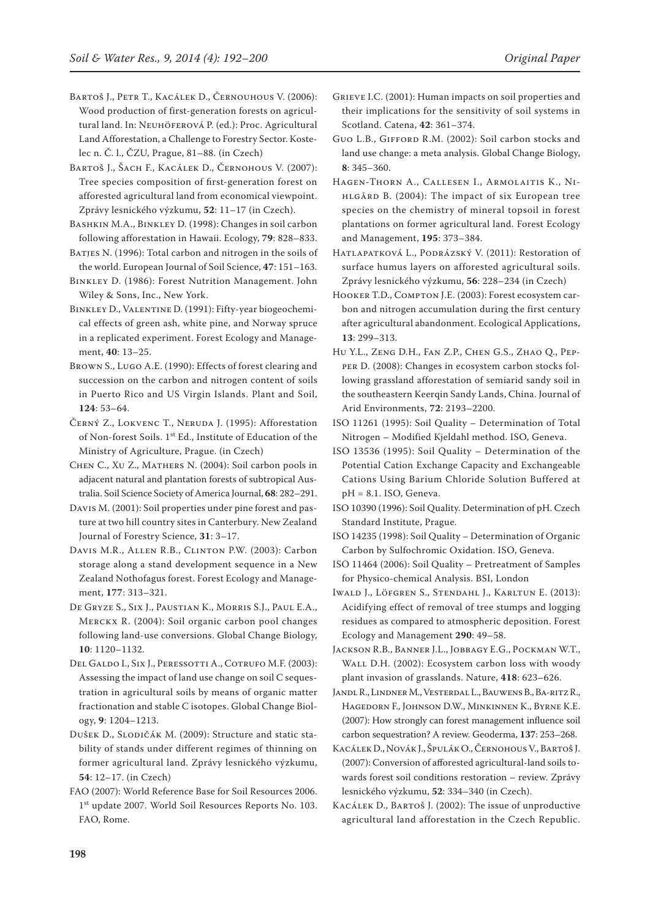- Bartoš J., Petr T., Kacálek D., Černouhous V. (2006): Wood production of first-generation forests on agricultural land. In: Neuhöferová P. (ed.): Proc. Agricultural Land Afforestation, a Challenge to Forestry Sector. Kostelec n. Č. l., ČZU, Prague, 81–88. (in Czech)
- BARTOŠ J., ŠACH F., KACÁLEK D., ČERNOHOUS V. (2007): Tree species composition of first-generation forest on afforested agricultural land from economical viewpoint. Zprávy lesnického výzkumu, **52**: 11–17 (in Czech).
- Bashkin M.A., Binkley D. (1998): Changes in soil carbon following afforestation in Hawaii. Ecology, **79**: 828–833.
- BATJES N. (1996): Total carbon and nitrogen in the soils of the world. European Journal of Soil Science, **47**: 151–163.
- Binkley D. (1986): Forest Nutrition Management. John Wiley & Sons, Inc., New York.
- BINKLEY D., VALENTINE D. (1991): Fifty-year biogeochemical effects of green ash, white pine, and Norway spruce in a replicated experiment. Forest Ecology and Management, **40**: 13–25.
- Brown S., Lugo A.E. (1990): Effects of forest clearing and succession on the carbon and nitrogen content of soils in Puerto Rico and US Virgin Islands. Plant and Soil, **124**: 53–64.
- Černý Z., Lokvenc T., Neruda J. (1995): Afforestation of Non-forest Soils. 1st Ed., Institute of Education of the Ministry of Agriculture, Prague. (in Czech)
- Chen C., Xu Z., Mathers N. (2004): Soil carbon pools in adjacent natural and plantation forests of subtropical Australia. Soil Science Society of America Journal, **68**: 282–291.
- Davis M. (2001): Soil properties under pine forest and pasture at two hill country sites in Canterbury. New Zealand Journal of Forestry Science, **31**: 3–17.
- Davis M.R., Allen R.B., Clinton P.W. (2003): Carbon storage along a stand development sequence in a New Zealand Nothofagus forest. Forest Ecology and Management, **177**: 313–321.
- De Gryze S., Six J., Paustian K., Morris S.J., Paul E.A., Merckx R. (2004): Soil organic carbon pool changes following land-use conversions. Global Change Biology, **10**: 1120–1132.
- Del Galdo I., Six J., Peressotti A., Cotrufo M.F. (2003): Assessing the impact of land use change on soil C sequestration in agricultural soils by means of organic matter fractionation and stable C isotopes. Global Change Biology, **9**: 1204–1213.
- Dušek D., Slodičák M. (2009): Structure and static stability of stands under different regimes of thinning on former agricultural land. Zprávy lesnického výzkumu, **54**: 12–17. (in Czech)
- FAO (2007): World Reference Base for Soil Resources 2006. 1st update 2007. World Soil Resources Reports No. 103. FAO, Rome.
- Grieve I.C. (2001): Human impacts on soil properties and their implications for the sensitivity of soil systems in Scotland. Catena, **42**: 361–374.
- Guo L.B., Gifford R.M. (2002): Soil carbon stocks and land use change: a meta analysis. Global Change Biology, **8**: 345–360.
- Hagen-Thorn A., Callesen I., Armolaitis K., Nihlgård B. (2004): The impact of six European tree species on the chemistry of mineral topsoil in forest plantations on former agricultural land. Forest Ecology and Management, **195**: 373–384.
- HATLAPATKOVÁ L., PODRÁZSKÝ V. (2011): Restoration of surface humus layers on afforested agricultural soils. Zprávy lesnického výzkumu, **56**: 228–234 (in Czech)
- HOOKER T.D., COMPTON J.E. (2003): Forest ecosystem carbon and nitrogen accumulation during the first century after agricultural abandonment. Ecological Applications, **13**: 299–313.
- Hu Y.L., Zeng D.H., Fan Z.P., Chen G.S., Zhao Q., Pepper D. (2008): Changes in ecosystem carbon stocks following grassland afforestation of semiarid sandy soil in the southeastern Keerqin Sandy Lands, China. Journal of Arid Environments, **72**: 2193–2200.
- ISO 11261 (1995): Soil Quality Determination of Total Nitrogen – Modified Kjeldahl method. ISO, Geneva.
- ISO 13536 (1995): Soil Quality Determination of the Potential Cation Exchange Capacity and Exchangeable Cations Using Barium Chloride Solution Buffered at pH = 8.1. ISO, Geneva.
- ISO 10390 (1996): Soil Quality. Determination of pH. Czech Standard Institute, Prague.
- ISO 14235 (1998): Soil Quality Determination of Organic Carbon by Sulfochromic Oxidation. ISO, Geneva.
- ISO 11464 (2006): Soil Quality Pretreatment of Samples for Physico-chemical Analysis. BSI, London
- Iwald J., Löfgren S., Stendahl J., Karltun E. (2013): Acidifying effect of removal of tree stumps and logging residues as compared to atmospheric deposition. Forest Ecology and Management **290**: 49–58.
- Jackson R.B., Banner J.L., Jobbagy E.G., Pockman W.T., WALL D.H. (2002): Ecosystem carbon loss with woody plant invasion of grasslands. Nature, **418**: 623–626.
- Jandl R., Lindner M., Vesterdal L., Bauwens B., Ba-ritz R., Hagedorn F., Johnson D.W., Minkinnen K., Byrne K.E. (2007): How strongly can forest management influence soil carbon sequestration? A review. Geoderma, **137**: 253–268.
- Kacálek D., Novák J., Špulák O., Černohous V., Bartoš J. (2007): Conversion of afforested agricultural-land soils towards forest soil conditions restoration – review. Zprávy lesnického výzkumu, **52**: 334–340 (in Czech).
- Kacálek D., Bartoš J. (2002): The issue of unproductive agricultural land afforestation in the Czech Republic.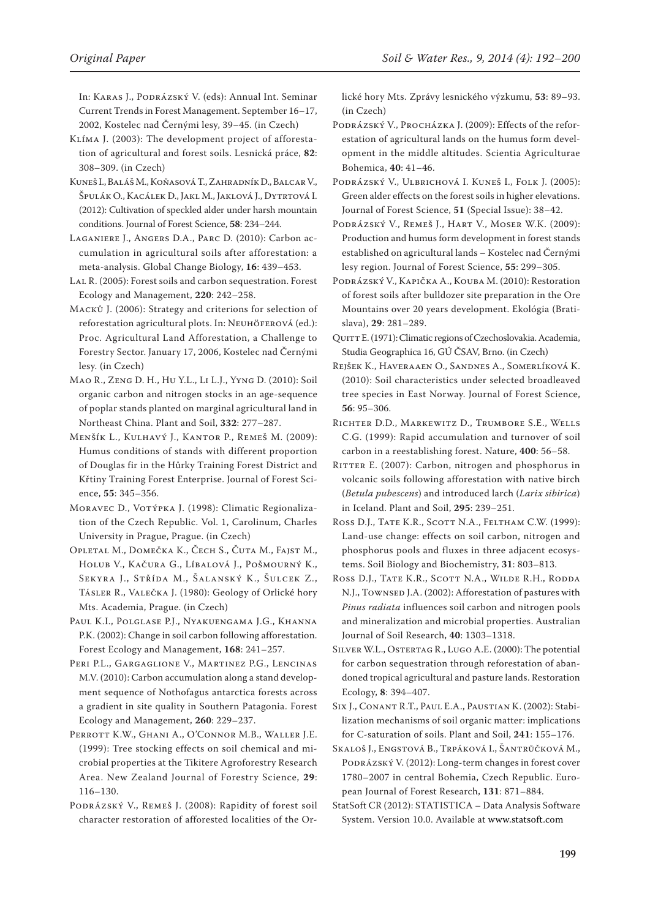In: Karas J., Podrázský V. (eds): Annual Int. Seminar Current Trends in Forest Management. September 16–17, 2002, Kostelec nad Černými lesy, 39–45. (in Czech)

- Klíma J. (2003): The development project of afforestation of agricultural and forest soils. Lesnická práce, **82**: 308–309. (in Czech)
- Kuneš I., Baláš M., Koňasová T., Zahradník D., Balcar V., Špulák O., Kacálek D., Jakl M., Jaklová J., Dytrtová I. (2012): Cultivation of speckled alder under harsh mountain conditions. Journal of Forest Science, **58**: 234–244.
- Laganiere J., Angers D.A., Parc D. (2010): Carbon accumulation in agricultural soils after afforestation: a meta-analysis. Global Change Biology, **16**: 439–453.
- Lal R. (2005): Forest soils and carbon sequestration. Forest Ecology and Management, **220**: 242–258.
- Macků J. (2006): Strategy and criterions for selection of reforestation agricultural plots. In: Neuhöferová (ed.): Proc. Agricultural Land Afforestation, a Challenge to Forestry Sector. January 17, 2006, Kostelec nad Černými lesy. (in Czech)
- Mao R., Zeng D. H., Hu Y.L., Li L.J., Yyng D. (2010): Soil organic carbon and nitrogen stocks in an age-sequence of poplar stands planted on marginal agricultural land in Northeast China. Plant and Soil, **332**: 277–287.
- Menšík L., Kulhavý J., Kantor P., Remeš M. (2009): Humus conditions of stands with different proportion of Douglas fir in the Hůrky Training Forest District and Křtiny Training Forest Enterprise. Journal of Forest Science, **55**: 345–356.
- MORAVEC D., VOTÝPKA J. (1998): Climatic Regionalization of the Czech Republic. Vol. 1, Carolinum, Charles University in Prague, Prague. (in Czech)
- Opletal M., Domečka K., Čech S., Čuta M., Fajst M., Holub V., Kačura G., Líbalová J., Pošmourný K., Sekyra J., Střída M., Šalanský K., Šulcek Z., Tásler R., Valečka J. (1980): Geology of Orlické hory Mts. Academia, Prague. (in Czech)
- Paul K.I., Polglase P.J., Nyakuengama J.G., Khanna P.K. (2002): Change in soil carbon following afforestation. Forest Ecology and Management, **168**: 241–257.
- Peri P.L., Gargaglione V., Martinez P.G., Lencinas M.V. (2010): Carbon accumulation along a stand development sequence of Nothofagus antarctica forests across a gradient in site quality in Southern Patagonia. Forest Ecology and Management, **260**: 229–237.
- Perrott K.W., Ghani A., O'Connor M.B., Waller J.E. (1999): Tree stocking effects on soil chemical and microbial properties at the Tikitere Agroforestry Research Area. New Zealand Journal of Forestry Science, **29**: 116–130.
- Podrázský V., Remeš J. (2008): Rapidity of forest soil character restoration of afforested localities of the Or-

lické hory Mts. Zprávy lesnického výzkumu, **53**: 89–93. (in Czech)

- Podrázský V., Procházka J. (2009): Effects of the reforestation of agricultural lands on the humus form development in the middle altitudes. Scientia Agriculturae Bohemica, **40**: 41–46.
- Podrázský V., Ulbrichová I. Kuneš I., Folk J. (2005): Green alder effects on the forest soils in higher elevations. Journal of Forest Science, **51** (Special Issue): 38–42.
- Podrázský V., Remeš J., Hart V., Moser W.K. (2009): Production and humus form development in forest stands established on agricultural lands – Kostelec nad Černými lesy region. Journal of Forest Science, **55**: 299–305.
- Podrázský V., Kapička A., Kouba M. (2010): Restoration of forest soils after bulldozer site preparation in the Ore Mountains over 20 years development. Ekológia (Bratislava), **29**: 281–289.
- QUITT E. (1971): Climatic regions of Czechoslovakia. Academia, Studia Geographica 16, GÚ ČSAV, Brno. (in Czech)
- Rejšek K., Haveraaen O., Sandnes A., Somerlíková K. (2010): Soil characteristics under selected broadleaved tree species in East Norway. Journal of Forest Science, **56**: 95–306.
- Richter D.D., Markewitz D., Trumbore S.E., Wells C.G. (1999): Rapid accumulation and turnover of soil carbon in a reestablishing forest. Nature, **400**: 56–58.
- RITTER E. (2007): Carbon, nitrogen and phosphorus in volcanic soils following afforestation with native birch (*Betula pubescens*) and introduced larch (*Larix sibirica*) in Iceland. Plant and Soil, **295**: 239–251.
- ROSS D.J., TATE K.R., SCOTT N.A., FELTHAM C.W. (1999): Land-use change: effects on soil carbon, nitrogen and phosphorus pools and fluxes in three adjacent ecosystems. Soil Biology and Biochemistry, **31**: 803–813.
- Ross D.J., Tate K.R., Scott N.A., Wilde R.H., Rodda N.J., Townsed J.A. (2002): Afforestation of pastures with *Pinus radiata* influences soil carbon and nitrogen pools and mineralization and microbial properties. Australian Journal of Soil Research, **40**: 1303–1318.
- Silver W.L., Ostertag R., Lugo A.E. (2000): The potential for carbon sequestration through reforestation of abandoned tropical agricultural and pasture lands. Restoration Ecology, **8**: 394–407.
- Six J., Conant R.T., Paul E.A., Paustian K. (2002): Stabilization mechanisms of soil organic matter: implications for C-saturation of soils. Plant and Soil, **241**: 155–176.
- Skaloš J., Engstová B., Trpáková I., Šantrůčková M., Podrázský V. (2012): Long-term changes in forest cover 1780–2007 in central Bohemia, Czech Republic. European Journal of Forest Research, **131**: 871–884.
- StatSoft CR (2012): STATISTICA Data Analysis Software System. Version 10.0. Available at www.statsoft.com